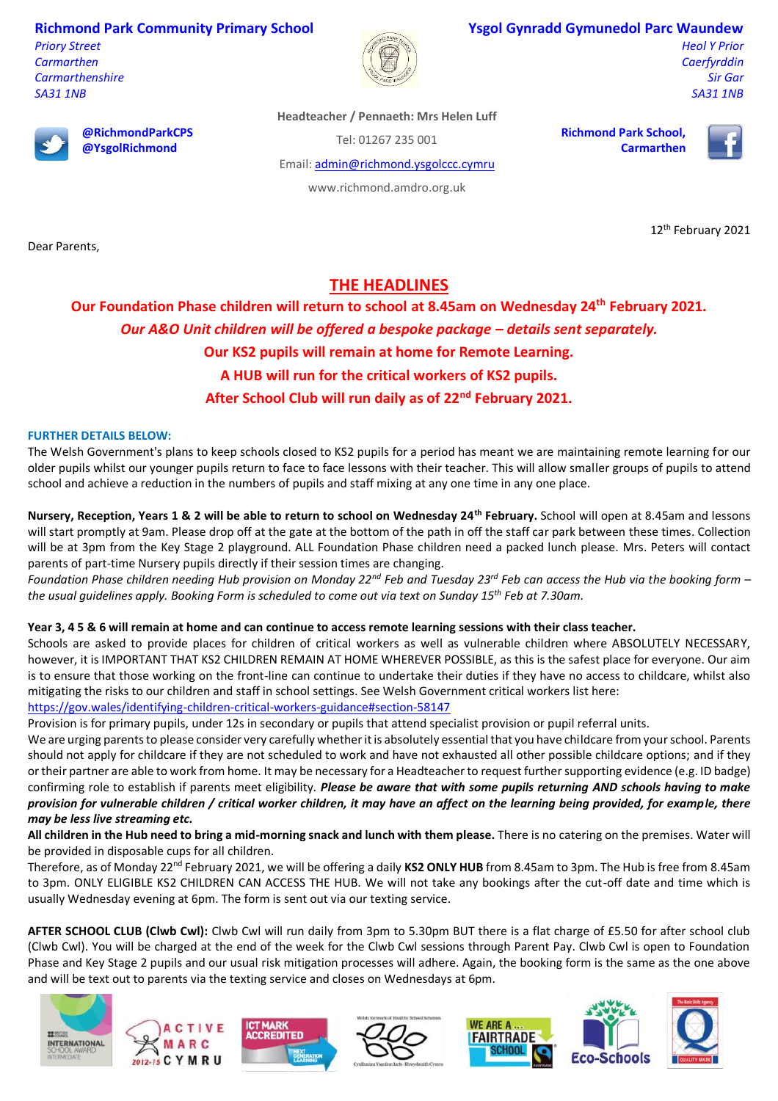## **Richmond Park Community Primary School**

*Priory Street Carmarthen Carmarthenshire SA31 1NB*



#### **Ysgol Gynradd Gymunedol Parc Waundew**

*Heol Y Prior Caerfyrddin Sir Gar SA31 1NB*



Dear Parents,

**@RichmondParkCPS @YsgolRichmond**

**Headteacher / Pennaeth: Mrs Helen Luff**

Tel: 01267 235 001

Email[: admin@richmond.ysgolccc.cymru](mailto:admin@richmond.ysgolccc.cymru)

www.richmond.amdro.org.uk

**Richmond Park School, Carmarthen**



12<sup>th</sup> February 2021

# **THE HEADLINES**

**Our Foundation Phase children will return to school at 8.45am on Wednesday 24th February 2021.** *Our A&O Unit children will be offered a bespoke package – details sent separately.*  **Our KS2 pupils will remain at home for Remote Learning. A HUB will run for the critical workers of KS2 pupils. After School Club will run daily as of 22nd February 2021.**

### **FURTHER DETAILS BELOW:**

The Welsh Government's plans to keep schools closed to KS2 pupils for a period has meant we are maintaining remote learning for our older pupils whilst our younger pupils return to face to face lessons with their teacher. This will allow smaller groups of pupils to attend school and achieve a reduction in the numbers of pupils and staff mixing at any one time in any one place.

**Nursery, Reception, Years 1 & 2 will be able to return to school on Wednesday 24th February.** School will open at 8.45am and lessons will start promptly at 9am. Please drop off at the gate at the bottom of the path in off the staff car park between these times. Collection will be at 3pm from the Key Stage 2 playground. ALL Foundation Phase children need a packed lunch please. Mrs. Peters will contact parents of part-time Nursery pupils directly if their session times are changing.

*Foundation Phase children needing Hub provision on Monday 22nd Feb and Tuesday 23rd Feb can access the Hub via the booking form – the usual guidelines apply. Booking Form is scheduled to come out via text on Sunday 15th Feb at 7.30am.*

### **Year 3, 4 5 & 6 will remain at home and can continue to access remote learning sessions with their class teacher.**

Schools are asked to provide places for children of critical workers as well as vulnerable children where ABSOLUTELY NECESSARY, however, it is IMPORTANT THAT KS2 CHILDREN REMAIN AT HOME WHEREVER POSSIBLE, as this is the safest place for everyone. Our aim is to ensure that those working on the front-line can continue to undertake their duties if they have no access to childcare, whilst also mitigating the risks to our children and staff in school settings. See Welsh Government critical workers list here: <https://gov.wales/identifying-children-critical-workers-guidance#section-58147>

Provision is for primary pupils, under 12s in secondary or pupils that attend specialist provision or pupil referral units.

We are urging parents to please consider very carefully whether it is absolutely essential that you have childcare from your school. Parents should not apply for childcare if they are not scheduled to work and have not exhausted all other possible childcare options; and if they or their partner are able to work from home. It may be necessary for a Headteacher to request further supporting evidence (e.g. ID badge) confirming role to establish if parents meet eligibility. *Please be aware that with some pupils returning AND schools having to make provision for vulnerable children / critical worker children, it may have an affect on the learning being provided, for example, there may be less live streaming etc.*

**All children in the Hub need to bring a mid-morning snack and lunch with them please.** There is no catering on the premises. Water will be provided in disposable cups for all children.

Therefore, as of Monday 22<sup>nd</sup> February 2021, we will be offering a daily KS2 ONLY HUB from 8.45am to 3pm. The Hub is free from 8.45am to 3pm. ONLY ELIGIBLE KS2 CHILDREN CAN ACCESS THE HUB. We will not take any bookings after the cut-off date and time which is usually Wednesday evening at 6pm. The form is sent out via our texting service.

**AFTER SCHOOL CLUB (Clwb Cwl):** Clwb Cwl will run daily from 3pm to 5.30pm BUT there is a flat charge of £5.50 for after school club (Clwb Cwl). You will be charged at the end of the week for the Clwb Cwl sessions through Parent Pay. Clwb Cwl is open to Foundation Phase and Key Stage 2 pupils and our usual risk mitigation processes will adhere. Again, the booking form is the same as the one above and will be text out to parents via the texting service and closes on Wednesdays at 6pm.